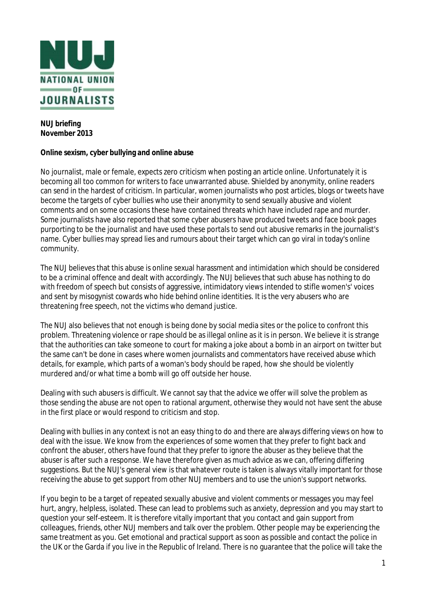

## **NUJ briefing November 2013**

## **Online sexism, cyber bullying and online abuse**

No journalist, male or female, expects zero criticism when posting an article online. Unfortunately it is becoming all too common for writers to face unwarranted abuse. Shielded by anonymity, online readers can send in the hardest of criticism. In particular, women journalists who post articles, blogs or tweets have become the targets of cyber bullies who use their anonymity to send sexually abusive and violent comments and on some occasions these have contained threats which have included rape and murder. Some journalists have also reported that some cyber abusers have produced tweets and face book pages purporting to be the journalist and have used these portals to send out abusive remarks in the journalist's name. Cyber bullies may spread lies and rumours about their target which can go viral in today's online community.

The NUJ believes that this abuse is online sexual harassment and intimidation which should be considered to be a criminal offence and dealt with accordingly. The NUJ believes that such abuse has nothing to do with freedom of speech but consists of aggressive, intimidatory views intended to stifle women's' voices and sent by misogynist cowards who hide behind online identities. It is the very abusers who are threatening free speech, not the victims who demand justice.

The NUJ also believes that not enough is being done by social media sites or the police to confront this problem. Threatening violence or rape should be as illegal online as it is in person. We believe it is strange that the authorities can take someone to court for making a joke about a bomb in an airport on twitter but the same can't be done in cases where women journalists and commentators have received abuse which details, for example, which parts of a woman's body should be raped, how she should be violently murdered and/or what time a bomb will go off outside her house.

Dealing with such abusers is difficult. We cannot say that the advice we offer will solve the problem as those sending the abuse are not open to rational argument, otherwise they would not have sent the abuse in the first place or would respond to criticism and stop.

Dealing with bullies in any context is not an easy thing to do and there are always differing views on how to deal with the issue. We know from the experiences of some women that they prefer to fight back and confront the abuser, others have found that they prefer to ignore the abuser as they believe that the abuser is after such a response. We have therefore given as much advice as we can, offering differing suggestions. But the NUJ's general view is that whatever route is taken is always vitally important for those receiving the abuse to get support from other NUJ members and to use the union's support networks.

If you begin to be a target of repeated sexually abusive and violent comments or messages you may feel hurt, angry, helpless, isolated. These can lead to problems such as anxiety, depression and you may start to question your self-esteem. It is therefore vitally important that you contact and gain support from colleagues, friends, other NUJ members and talk over the problem. Other people may be experiencing the same treatment as you. Get emotional and practical support as soon as possible and contact the police in the UK or the Garda if you live in the Republic of Ireland. There is no guarantee that the police will take the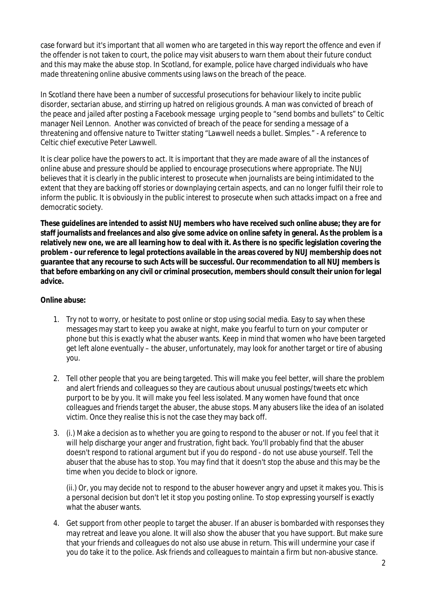case forward but it's important that all women who are targeted in this way report the offence and even if the offender is not taken to court, the police may visit abusers to warn them about their future conduct and this may make the abuse stop. In Scotland, for example, police have charged individuals who have made threatening online abusive comments using laws on the breach of the peace.

In Scotland there have been a number of successful prosecutions for behaviour likely to incite public disorder, sectarian abuse, and stirring up hatred on religious grounds. A man was convicted of breach of the peace and jailed after posting a Facebook message urging people to "send bombs and bullets" to Celtic manager Neil Lennon. Another was convicted of breach of the peace for sending a message of a threatening and offensive nature to Twitter stating "Lawwell needs a bullet. Simples." - A reference to Celtic chief executive Peter Lawwell.

It is clear police have the powers to act. It is important that they are made aware of all the instances of online abuse and pressure should be applied to encourage prosecutions where appropriate. The NUJ believes that it is clearly in the public interest to prosecute when journalists are being intimidated to the extent that they are backing off stories or downplaying certain aspects, and can no longer fulfil their role to inform the public. It is obviously in the public interest to prosecute when such attacks impact on a free and democratic society.

**These guidelines are intended to assist NUJ members who have received such online abuse; they are for staff journalists and freelances and also give some advice on online safety in general. As the problem is a relatively new one, we are all learning how to deal with it. As there is no specific legislation covering the problem - our reference to legal protections available in the areas covered by NUJ membership does not guarantee that any recourse to such Acts will be successful. Our recommendation to all NUJ members is that before embarking on any civil or criminal prosecution, members should consult their union for legal advice.**

# **Online abuse:**

- 1. Try not to worry, or hesitate to post online or stop using social media. Easy to say when these messages may start to keep you awake at night, make you fearful to turn on your computer or phone but this is *exactly* what the abuser wants. Keep in mind that women who have been targeted get left alone eventually – the abuser, unfortunately, may look for another target or tire of abusing you.
- 2. Tell other people that you are being targeted. This will make you feel better, will share the problem and alert friends and colleagues so they are cautious about unusual postings/tweets etc which purport to be by you. It will make you feel less isolated. Many women have found that once colleagues and friends target the abuser, the abuse stops. Many abusers like the idea of an isolated victim. Once they realise this is not the case they may back off.
- 3. (i.) Make a decision as to whether you are going to respond to the abuser or not. If you feel that it will help discharge your anger and frustration, fight back. You'll probably find that the abuser doesn't respond to rational argument but if you do respond - do not use abuse yourself. Tell the abuser that the abuse has to stop. You may find that it doesn't stop the abuse and this may be the time when you decide to block or ignore.

(ii.) Or, you may decide not to respond to the abuser however angry and upset it makes you. This is a personal decision but don't let it stop you posting online. To stop expressing yourself is exactly what the abuser wants.

4. Get support from other people to target the abuser. If an abuser is bombarded with responses they may retreat and leave you alone. It will also show the abuser that you have support. But make sure that your friends and colleagues do not also use abuse in return. This will undermine your case if you do take it to the police. Ask friends and colleagues to maintain a firm but non-abusive stance.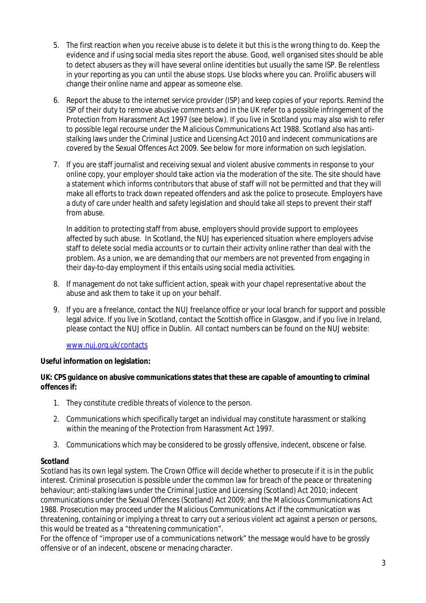- 5. The first reaction when you receive abuse is to delete it but this is the wrong thing to do. Keep the evidence and if using social media sites report the abuse. Good, well organised sites should be able to detect abusers as they will have several online identities but usually the same ISP. Be relentless in your reporting as you can until the abuse stops. Use blocks where you can. Prolific abusers will change their online name and appear as someone else.
- 6. Report the abuse to the internet service provider (ISP) and keep copies of your reports. Remind the ISP of their duty to remove abusive comments and in the UK refer to a possible infringement of the Protection from Harassment Act 1997 (see below). If you live in Scotland you may also wish to refer to possible legal recourse under the Malicious Communications Act 1988. Scotland also has antistalking laws under the Criminal Justice and Licensing Act 2010 and indecent communications are covered by the Sexual Offences Act 2009. See below for more information on such legislation.
- 7. If you are staff journalist and receiving sexual and violent abusive comments in response to your online copy, your employer should take action via the moderation of the site. The site should have a statement which informs contributors that abuse of staff will not be permitted and that they will make all efforts to track down repeated offenders and ask the police to prosecute. Employers have a duty of care under health and safety legislation and should take all steps to prevent their staff from abuse.

In addition to protecting staff from abuse, employers should provide support to employees affected by such abuse. In Scotland, the NUJ has experienced situation where employers advise staff to delete social media accounts or to curtain their activity online rather than deal with the problem. As a union, we are demanding that our members are not prevented from engaging in their day-to-day employment if this entails using social media activities.

- 8. If management do not take sufficient action, speak with your chapel representative about the abuse and ask them to take it up on your behalf.
- 9. If you are a freelance, contact the NUJ freelance office or your local branch for support and possible legal advice. If you live in Scotland, contact the Scottish office in Glasgow, and if you live in Ireland, please contact the NUJ office in Dublin. All contact numbers can be found on the NUJ website:

www.nuj.org.uk/contacts

# **Useful information on legislation:**

## **UK: CPS guidance on abusive communications states that these are capable of amounting to criminal offences if:**

- 1. They constitute credible threats of violence to the person.
- 2. Communications which specifically target an individual may constitute harassment or stalking within the meaning of the Protection from Harassment Act 1997.
- 3. Communications which may be considered to be grossly offensive, indecent, obscene or false.

# **Scotland**

Scotland has its own legal system. The Crown Office will decide whether to prosecute if it is in the public interest. Criminal prosecution is possible under the common law for breach of the peace or threatening behaviour; anti-stalking laws under the Criminal Justice and Licensing (Scotland) Act 2010; indecent communications under the Sexual Offences (Scotland) Act 2009; and the Malicious Communications Act 1988. Prosecution may proceed under the Malicious Communications Act if the communication was threatening, containing or implying a threat to carry out a serious violent act against a person or persons, this would be treated as a "threatening communication".

For the offence of "improper use of a communications network" the message would have to be grossly offensive or of an indecent, obscene or menacing character.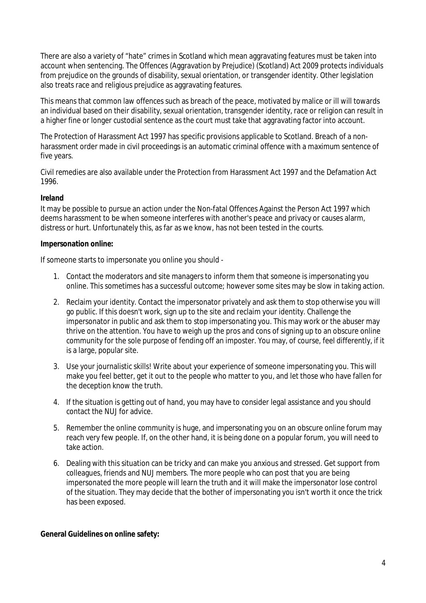There are also a variety of "hate" crimes in Scotland which mean aggravating features must be taken into account when sentencing. The Offences (Aggravation by Prejudice) (Scotland) Act 2009 protects individuals from prejudice on the grounds of disability, sexual orientation, or transgender identity. Other legislation also treats race and religious prejudice as aggravating features.

This means that common law offences such as breach of the peace, motivated by malice or ill will towards an individual based on their disability, sexual orientation, transgender identity, race or religion can result in a higher fine or longer custodial sentence as the court must take that aggravating factor into account.

The Protection of Harassment Act 1997 has specific provisions applicable to Scotland. Breach of a nonharassment order made in civil proceedings is an automatic criminal offence with a maximum sentence of five years.

Civil remedies are also available under the Protection from Harassment Act 1997 and the Defamation Act 1996.

## **Ireland**

It may be possible to pursue an action under the Non-fatal Offences Against the Person Act 1997 which deems harassment to be when someone interferes with another's peace and privacy or causes alarm, distress or hurt. Unfortunately this, as far as we know, has not been tested in the courts.

## **Impersonation online:**

If someone starts to impersonate you online you should -

- 1. Contact the moderators and site managers to inform them that someone is impersonating you online. This sometimes has a successful outcome; however some sites may be slow in taking action.
- 2. Reclaim your identity. Contact the impersonator privately and ask them to stop otherwise you will go public. If this doesn't work, sign up to the site and reclaim your identity. Challenge the impersonator in public and ask them to stop impersonating you. This may work or the abuser may thrive on the attention. You have to weigh up the pros and cons of signing up to an obscure online community for the sole purpose of fending off an imposter. You may, of course, feel differently, if it is a large, popular site.
- 3. Use your journalistic skills! Write about your experience of someone impersonating you. This will make you feel better, get it out to the people who matter to you, and let those who have fallen for the deception know the truth.
- 4. If the situation is getting out of hand, you may have to consider legal assistance and you should contact the NUJ for advice.
- 5. Remember the online community is huge, and impersonating you on an obscure online forum may reach very few people. If, on the other hand, it is being done on a popular forum, you will need to take action.
- 6. Dealing with this situation can be tricky and can make you anxious and stressed. Get support from colleagues, friends and NUJ members. The more people who can post that you are being impersonated the more people will learn the truth and it will make the impersonator lose control of the situation. They may decide that the bother of impersonating you isn't worth it once the trick has been exposed.

#### **General Guidelines on online safety:**